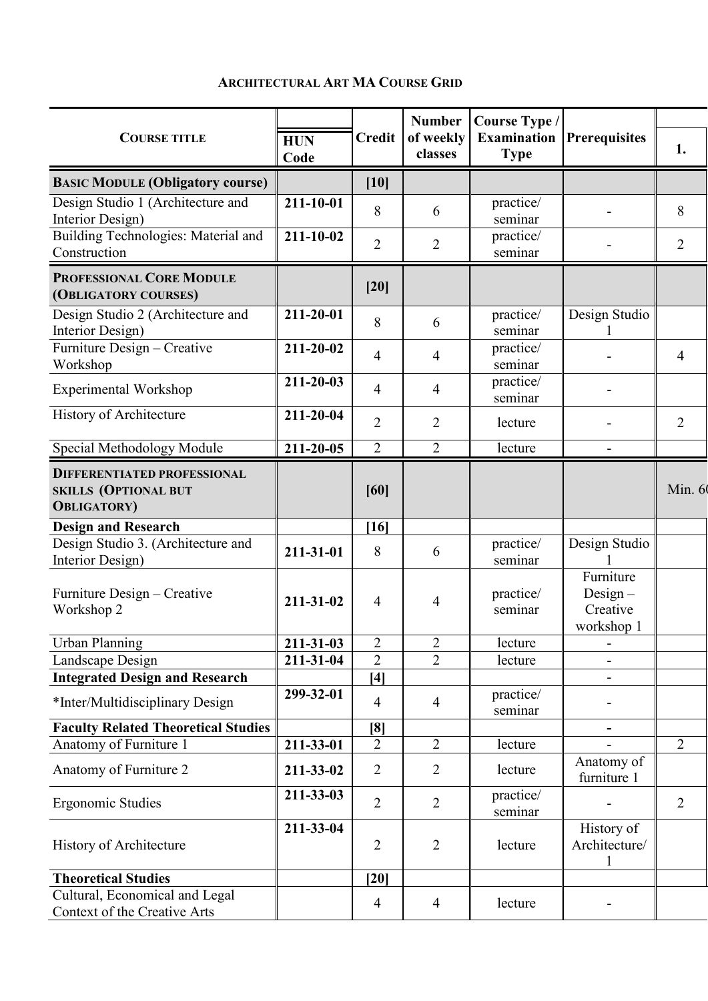## **ARCHITECTURAL ART MA COURSE GRID**

| <b>COURSE TITLE</b>                                                                      |                        | <b>Credit</b>         | <b>Number</b><br>of weekly<br>classes | Course Type /<br><b>Examination</b><br><b>Type</b> | <b>Prerequisites</b>                              |                |
|------------------------------------------------------------------------------------------|------------------------|-----------------------|---------------------------------------|----------------------------------------------------|---------------------------------------------------|----------------|
|                                                                                          | <b>HUN</b><br>Code     |                       |                                       |                                                    |                                                   | 1.             |
| <b>BASIC MODULE (Obligatory course)</b>                                                  |                        | $[10]$                |                                       |                                                    |                                                   |                |
| Design Studio 1 (Architecture and<br>Interior Design)                                    | 211-10-01              | 8                     | 6                                     | practice/<br>seminar                               |                                                   | 8              |
| <b>Building Technologies: Material and</b><br>Construction                               | $211 - 10 - 02$        | $\overline{2}$        | $\overline{2}$                        | practice/<br>seminar                               |                                                   | $\overline{2}$ |
| PROFESSIONAL CORE MODULE<br>(OBLIGATORY COURSES)                                         |                        | $[20]$                |                                       |                                                    |                                                   |                |
| Design Studio 2 (Architecture and<br>Interior Design)                                    | 211-20-01              | 8                     | 6                                     | practice/<br>seminar                               | Design Studio                                     |                |
| Furniture Design - Creative<br>Workshop                                                  | $211 - 20 - 02$        | $\overline{4}$        | $\overline{4}$                        | practice/<br>seminar                               |                                                   | $\overline{4}$ |
| <b>Experimental Workshop</b>                                                             | $211 - 20 - 03$        | 4                     | $\overline{4}$                        | practice/<br>seminar                               |                                                   |                |
| History of Architecture                                                                  | 211-20-04              | $\overline{2}$        | $\overline{2}$                        | lecture                                            |                                                   | $\overline{2}$ |
| Special Methodology Module                                                               | 211-20-05              | $\overline{2}$        | $\overline{2}$                        | lecture                                            |                                                   |                |
| <b>DIFFERENTIATED PROFESSIONAL</b><br><b>SKILLS (OPTIONAL BUT</b><br><b>OBLIGATORY</b> ) |                        | [60]                  |                                       |                                                    |                                                   | Min. 60        |
| <b>Design and Research</b>                                                               |                        | $[16]$                |                                       |                                                    |                                                   |                |
| Design Studio 3. (Architecture and<br>Interior Design)                                   | 211-31-01              | 8                     | 6                                     | practice/<br>seminar                               | Design Studio                                     |                |
| Furniture Design – Creative<br>Workshop 2                                                | 211-31-02              | $\overline{4}$        | 4                                     | practice/<br>seminar                               | Furniture<br>$Design -$<br>Creative<br>workshop 1 |                |
| <b>Urban Planning</b>                                                                    | $\overline{211-31-03}$ | $\overline{2}$        | $\overline{2}$                        | lecture                                            |                                                   |                |
| Landscape Design                                                                         | 211-31-04              | $\overline{2}$        | $\overline{2}$                        | lecture                                            |                                                   |                |
| <b>Integrated Design and Research</b>                                                    |                        | $[4]$                 |                                       |                                                    |                                                   |                |
| *Inter/Multidisciplinary Design                                                          | 299-32-01              | $\overline{4}$        | 4                                     | practice/<br>seminar                               |                                                   |                |
| <b>Faculty Related Theoretical Studies</b>                                               |                        | [8]<br>$\overline{2}$ | $\overline{2}$                        |                                                    |                                                   | 2              |
| Anatomy of Furniture 1<br>Anatomy of Furniture 2                                         | 211-33-01<br>211-33-02 | $\overline{2}$        | $\overline{2}$                        | lecture<br>lecture                                 | Anatomy of<br>furniture 1                         |                |
| Ergonomic Studies                                                                        | 211-33-03              | $\overline{2}$        | $\overline{2}$                        | practice/<br>seminar                               |                                                   | $\overline{2}$ |
| History of Architecture                                                                  | 211-33-04              | $\overline{2}$        | $\overline{2}$                        | lecture                                            | History of<br>Architecture/                       |                |
| <b>Theoretical Studies</b>                                                               |                        | [20]                  |                                       |                                                    |                                                   |                |
| Cultural, Economical and Legal<br>Context of the Creative Arts                           |                        | $\overline{4}$        | $\overline{4}$                        | lecture                                            |                                                   |                |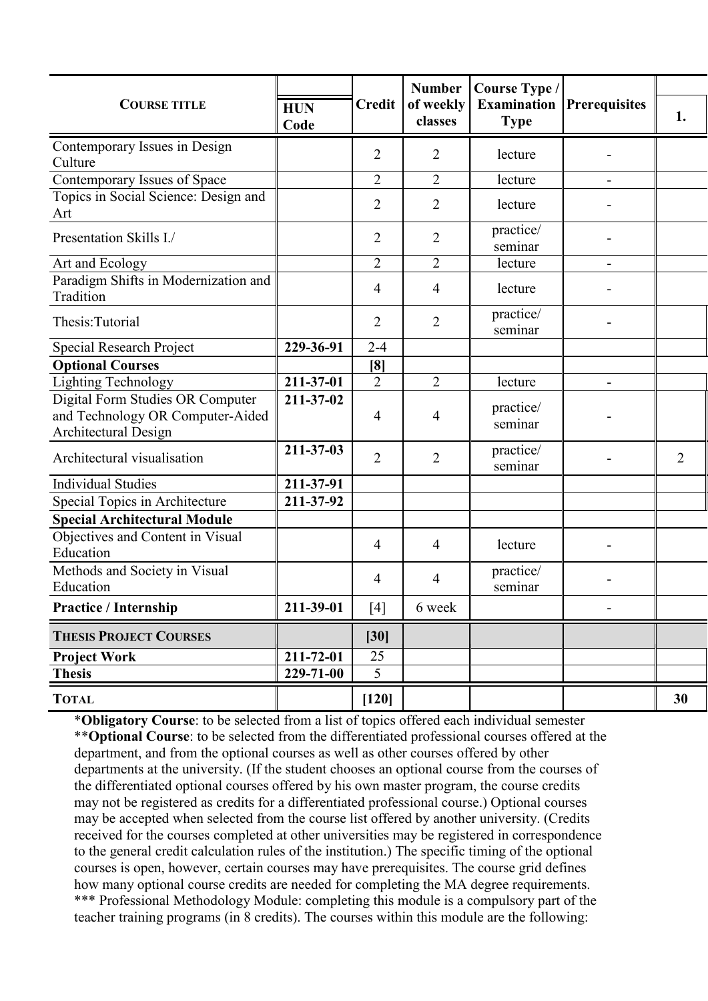| <b>COURSE TITLE</b>                                                                          | <b>HUN</b><br>Code | <b>Credit</b>  | <b>Number</b><br>of weekly<br>classes | Course Type /<br><b>Examination</b><br><b>Type</b> | <b>Prerequisites</b> | 1.             |
|----------------------------------------------------------------------------------------------|--------------------|----------------|---------------------------------------|----------------------------------------------------|----------------------|----------------|
| Contemporary Issues in Design<br>Culture                                                     |                    | 2              | 2                                     | lecture                                            |                      |                |
| Contemporary Issues of Space                                                                 |                    | $\overline{2}$ | 2                                     | lecture                                            |                      |                |
| Topics in Social Science: Design and<br>Art                                                  |                    | $\overline{2}$ | 2                                     | lecture                                            |                      |                |
| Presentation Skills I./                                                                      |                    | $\overline{2}$ | $\overline{2}$                        | practice/<br>seminar                               |                      |                |
| Art and Ecology                                                                              |                    | $\overline{2}$ | $\overline{2}$                        | lecture                                            |                      |                |
| Paradigm Shifts in Modernization and<br>Tradition                                            |                    | 4              | 4                                     | lecture                                            |                      |                |
| Thesis: Tutorial                                                                             |                    | $\overline{2}$ | $\overline{2}$                        | practice/<br>seminar                               |                      |                |
| Special Research Project                                                                     | 229-36-91          | $2 - 4$        |                                       |                                                    |                      |                |
| <b>Optional Courses</b>                                                                      |                    | [8]            |                                       |                                                    |                      |                |
| <b>Lighting Technology</b>                                                                   | 211-37-01          | $\overline{2}$ | $\overline{2}$                        | lecture                                            |                      |                |
| Digital Form Studies OR Computer<br>and Technology OR Computer-Aided<br>Architectural Design | 211-37-02          | 4              | $\overline{4}$                        | practice/<br>seminar                               |                      |                |
| Architectural visualisation                                                                  | 211-37-03          | $\overline{2}$ | $\overline{2}$                        | practice/<br>seminar                               |                      | $\overline{2}$ |
| <b>Individual Studies</b>                                                                    | 211-37-91          |                |                                       |                                                    |                      |                |
| Special Topics in Architecture                                                               | 211-37-92          |                |                                       |                                                    |                      |                |
| <b>Special Architectural Module</b>                                                          |                    |                |                                       |                                                    |                      |                |
| Objectives and Content in Visual<br>Education                                                |                    | $\overline{4}$ | $\overline{4}$                        | lecture                                            |                      |                |
| Methods and Society in Visual<br>Education                                                   |                    | $\overline{4}$ | 4                                     | practice/<br>seminar                               |                      |                |
| <b>Practice / Internship</b>                                                                 | 211-39-01          | $[4]$          | 6 week                                |                                                    |                      |                |
| <b>THESIS PROJECT COURSES</b>                                                                |                    | $[30]$         |                                       |                                                    |                      |                |
| <b>Project Work</b>                                                                          | 211-72-01          | 25             |                                       |                                                    |                      |                |
| <b>Thesis</b>                                                                                | 229-71-00          | 5              |                                       |                                                    |                      |                |
| <b>TOTAL</b>                                                                                 |                    | $[120]$        |                                       |                                                    |                      | 30             |

\***Obligatory Course**: to be selected from a list of topics offered each individual semester \*\***Optional Course**: to be selected from the differentiated professional courses offered at the department, and from the optional courses as well as other courses offered by other departments at the university. (If the student chooses an optional course from the courses of the differentiated optional courses offered by his own master program, the course credits may not be registered as credits for a differentiated professional course.) Optional courses may be accepted when selected from the course list offered by another university. (Credits received for the courses completed at other universities may be registered in correspondence to the general credit calculation rules of the institution.) The specific timing of the optional courses is open, however, certain courses may have prerequisites. The course grid defines how many optional course credits are needed for completing the MA degree requirements. \*\*\* Professional Methodology Module: completing this module is a compulsory part of the teacher training programs (in 8 credits). The courses within this module are the following: